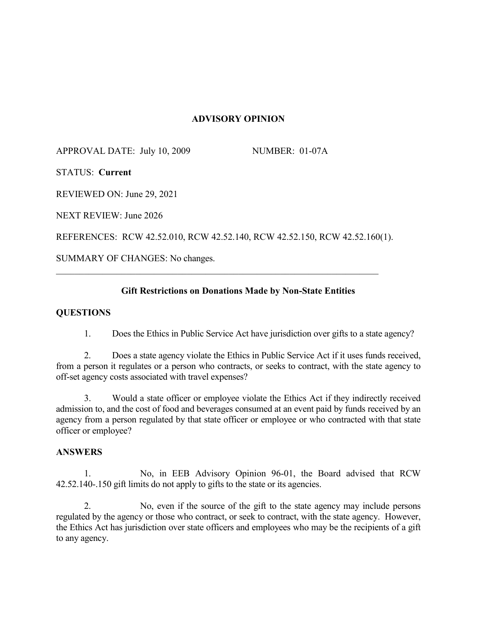## **ADVISORY OPINION**

APPROVAL DATE: July 10, 2009 NUMBER: 01-07A

STATUS: **Current**

REVIEWED ON: June 29, 2021

NEXT REVIEW: June 2026

REFERENCES: RCW 42.52.010, RCW 42.52.140, RCW 42.52.150, RCW 42.52.160(1).

\_\_\_\_\_\_\_\_\_\_\_\_\_\_\_\_\_\_\_\_\_\_\_\_\_\_\_\_\_\_\_\_\_\_\_\_\_\_\_\_\_\_\_\_\_\_\_\_\_\_\_\_\_\_\_\_\_\_\_\_\_\_\_\_\_\_\_\_\_

SUMMARY OF CHANGES: No changes.

## **Gift Restrictions on Donations Made by Non-State Entities**

### **QUESTIONS**

1. Does the Ethics in Public Service Act have jurisdiction over gifts to a state agency?

2. Does a state agency violate the Ethics in Public Service Act if it uses funds received, from a person it regulates or a person who contracts, or seeks to contract, with the state agency to off-set agency costs associated with travel expenses?

3. Would a state officer or employee violate the Ethics Act if they indirectly received admission to, and the cost of food and beverages consumed at an event paid by funds received by an agency from a person regulated by that state officer or employee or who contracted with that state officer or employee?

#### **ANSWERS**

1. No, in EEB Advisory Opinion 96-01, the Board advised that RCW 42.52.140-.150 gift limits do not apply to gifts to the state or its agencies.

No, even if the source of the gift to the state agency may include persons regulated by the agency or those who contract, or seek to contract, with the state agency. However, the Ethics Act has jurisdiction over state officers and employees who may be the recipients of a gift to any agency.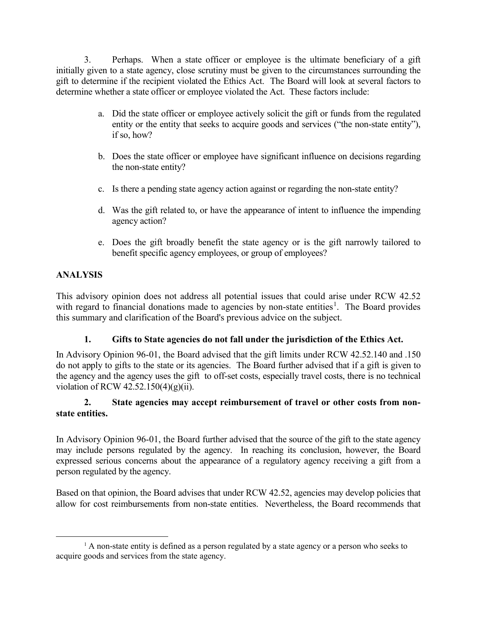3. Perhaps. When a state officer or employee is the ultimate beneficiary of a gift initially given to a state agency, close scrutiny must be given to the circumstances surrounding the gift to determine if the recipient violated the Ethics Act. The Board will look at several factors to determine whether a state officer or employee violated the Act. These factors include:

- a. Did the state officer or employee actively solicit the gift or funds from the regulated entity or the entity that seeks to acquire goods and services ("the non-state entity"), if so, how?
- b. Does the state officer or employee have significant influence on decisions regarding the non-state entity?
- c. Is there a pending state agency action against or regarding the non-state entity?
- d. Was the gift related to, or have the appearance of intent to influence the impending agency action?
- e. Does the gift broadly benefit the state agency or is the gift narrowly tailored to benefit specific agency employees, or group of employees?

# **ANALYSIS**

This advisory opinion does not address all potential issues that could arise under RCW 42.52 with regard to financial donations made to agencies by non-state entities<sup>[1](#page-1-0)</sup>. The Board provides this summary and clarification of the Board's previous advice on the subject.

## **1. Gifts to State agencies do not fall under the jurisdiction of the Ethics Act.**

In Advisory Opinion 96-01, the Board advised that the gift limits under RCW 42.52.140 and .150 do not apply to gifts to the state or its agencies. The Board further advised that if a gift is given to the agency and the agency uses the gift to off-set costs, especially travel costs, there is no technical violation of RCW  $42.52.150(4)(g)(ii)$ .

## **2. State agencies may accept reimbursement of travel or other costs from nonstate entities.**

In Advisory Opinion 96-01, the Board further advised that the source of the gift to the state agency may include persons regulated by the agency. In reaching its conclusion, however, the Board expressed serious concerns about the appearance of a regulatory agency receiving a gift from a person regulated by the agency.

Based on that opinion, the Board advises that under RCW 42.52, agencies may develop policies that allow for cost reimbursements from non-state entities. Nevertheless, the Board recommends that

<span id="page-1-0"></span> $<sup>1</sup>$  A non-state entity is defined as a person regulated by a state agency or a person who seeks to</sup> acquire goods and services from the state agency.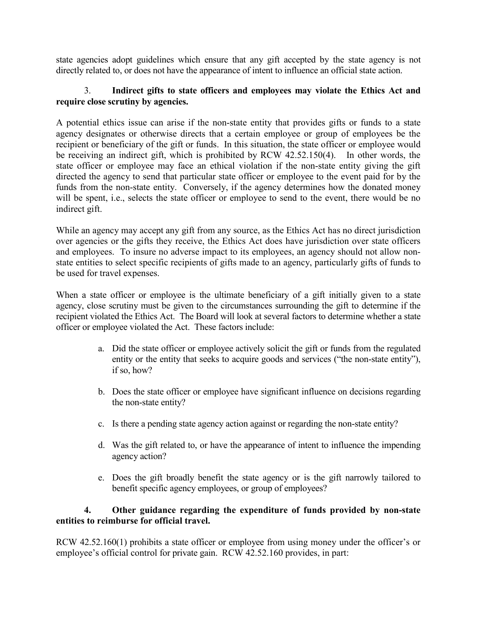state agencies adopt guidelines which ensure that any gift accepted by the state agency is not directly related to, or does not have the appearance of intent to influence an official state action.

## 3. **Indirect gifts to state officers and employees may violate the Ethics Act and require close scrutiny by agencies.**

A potential ethics issue can arise if the non-state entity that provides gifts or funds to a state agency designates or otherwise directs that a certain employee or group of employees be the recipient or beneficiary of the gift or funds. In this situation, the state officer or employee would be receiving an indirect gift, which is prohibited by RCW 42.52.150(4). In other words, the state officer or employee may face an ethical violation if the non-state entity giving the gift directed the agency to send that particular state officer or employee to the event paid for by the funds from the non-state entity. Conversely, if the agency determines how the donated money will be spent, i.e., selects the state officer or employee to send to the event, there would be no indirect gift.

While an agency may accept any gift from any source, as the Ethics Act has no direct jurisdiction over agencies or the gifts they receive, the Ethics Act does have jurisdiction over state officers and employees. To insure no adverse impact to its employees, an agency should not allow nonstate entities to select specific recipients of gifts made to an agency, particularly gifts of funds to be used for travel expenses.

When a state officer or employee is the ultimate beneficiary of a gift initially given to a state agency, close scrutiny must be given to the circumstances surrounding the gift to determine if the recipient violated the Ethics Act. The Board will look at several factors to determine whether a state officer or employee violated the Act. These factors include:

- a. Did the state officer or employee actively solicit the gift or funds from the regulated entity or the entity that seeks to acquire goods and services ("the non-state entity"), if so, how?
- b. Does the state officer or employee have significant influence on decisions regarding the non-state entity?
- c. Is there a pending state agency action against or regarding the non-state entity?
- d. Was the gift related to, or have the appearance of intent to influence the impending agency action?
- e. Does the gift broadly benefit the state agency or is the gift narrowly tailored to benefit specific agency employees, or group of employees?

## **4. Other guidance regarding the expenditure of funds provided by non-state entities to reimburse for official travel.**

RCW 42.52.160(1) prohibits a state officer or employee from using money under the officer's or employee's official control for private gain. RCW 42.52.160 provides, in part: